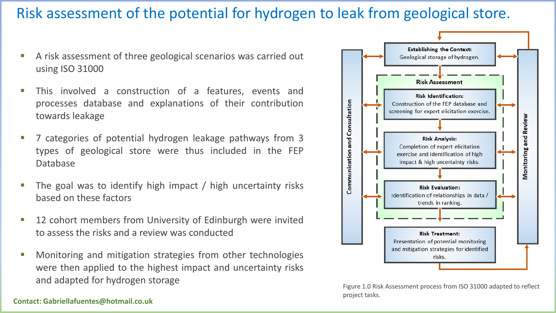### Risk assessment of the potential for hydrogen to leak from geological store.

- A risk assessment of three geological scenarios was carried out using ISO 31000
- **This involved a construction of a features, events and** processes database and explanations of their contribution towards leakage
- 7 categories of potential hydrogen leakage pathways from 3 types of geological store were thus included in the FEP Database
- The goal was to identify high impact / high uncertainty risks based on these factors
- 12 cohort members from University of Edinburgh were invited to assess the risks and a review was conducted
- Monitoring and mitigation strategies from other technologies were then applied to the highest impact and uncertainty risks and adapted for hydrogen storage



Figure 1.0 Risk Assessment process from ISO 31000 adapted to reflect project tasks.

#### **Contact: Gabriellafuentes@hotmail.co.uk**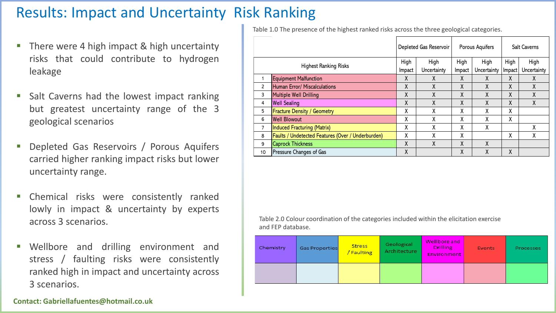# Results: Impact and Uncertainty Risk Ranking

- There were 4 high impact & high uncertainty risks that could contribute to hydrogen leakage
- Salt Caverns had the lowest impact ranking but greatest uncertainty range of the 3 geological scenarios
- Depleted Gas Reservoirs / Porous Aquifers carried higher ranking impact risks but lower uncertainty range.
- **EXECUTE:** Chemical risks were consistently ranked lowly in impact & uncertainty by experts across 3 scenarios.
- Wellbore and drilling environment and stress / faulting risks were consistently ranked high in impact and uncertainty across 3 scenarios.

Table 1.0 The presence of the highest ranked risks across the three geological categories.

|                              |                                                   | Depleted Gas Reservoir |             | Porous Aquifers |             | <b>Salt Caverns</b> |             |
|------------------------------|---------------------------------------------------|------------------------|-------------|-----------------|-------------|---------------------|-------------|
| <b>Highest Ranking Risks</b> |                                                   | High                   | High        | High            | High        | High                | High        |
|                              |                                                   | Impact                 | Uncertainty | Impact          | Uncertainty | Impact              | Uncertainty |
|                              | <b>Equipment Malfunction</b>                      | X                      | X           | X               | X           | X                   | X           |
| 2                            | Human Error/ Miscalculations                      | X                      | X           | X               | χ           | χ                   | χ           |
| 3                            | <b>Multiple Well Drilling</b>                     | X                      | X           | X               | X           | X                   | X           |
| 4                            | <b>Well Sealing</b>                               | X                      | X           | X               | χ           | X                   | χ           |
| 5                            | <b>Fracture Density / Geometry</b>                | X                      | X           | χ               | X           | Χ                   |             |
| 6                            | <b>Well Blowout</b>                               | X                      | X           | X               | χ           | X                   |             |
| 7                            | <b>Induced Fracturing (Matrix)</b>                | X                      | X           | χ               | χ           |                     | χ           |
| 8                            | Faults / Undetected Features (Over / Underburden) | χ                      | χ           | χ               |             | X                   | χ           |
| 9                            | <b>Caprock Thickness</b>                          | X                      | X           | X               | χ           |                     |             |
| 10                           | Pressure Changes of Gas                           | X                      |             | X               | Χ           | X                   |             |

Table 2.0 Colour coordination of the categories included within the elicitation exercise and FEP database.

| Chemistry | Gas Properties | <b>Stress</b><br>/ Faulting | Geological<br>Architecture | Wellbore and<br><b>Drilling</b><br><b>Environment</b> | Events | Processes |
|-----------|----------------|-----------------------------|----------------------------|-------------------------------------------------------|--------|-----------|
|           |                |                             |                            |                                                       |        |           |

**Contact: Gabriellafuentes@hotmail.co.uk**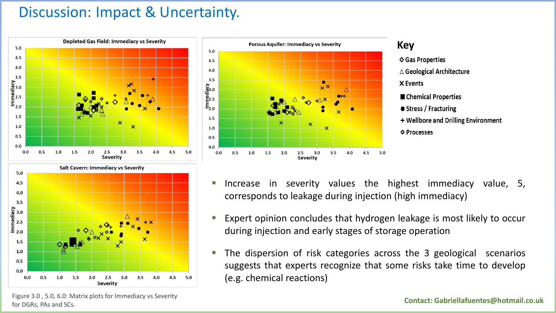#### Discussion: Impact & Uncertainty.







- Increase in severity values the highest immediacy value, 5, corresponds to leakage during injection (high immediacy)
- Expert opinion concludes that hydrogen leakage is most likely to occur during injection and early stages of storage operation
- The dispersion of risk categories across the 3 geological scenarios suggests that experts recognize that some risks take time to develop (e.g. chemical reactions)

Figure 3.0 , 5.0, 6.0: Matrix plots for Immediacy vs Severity for DGRs, PAs and SCs.